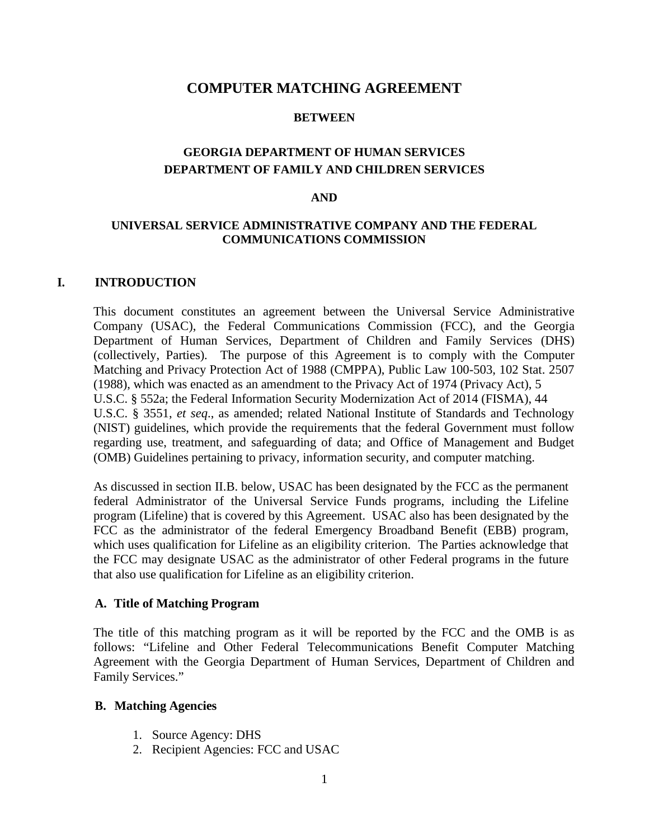## **COMPUTER MATCHING AGREEMENT**

#### **BETWEEN**

# **GEORGIA DEPARTMENT OF HUMAN SERVICES DEPARTMENT OF FAMILY AND CHILDREN SERVICES**

#### **AND**

#### **UNIVERSAL SERVICE ADMINISTRATIVE COMPANY AND THE FEDERAL COMMUNICATIONS COMMISSION**

#### **I. INTRODUCTION**

This document constitutes an agreement between the Universal Service Administrative Company (USAC), the Federal Communications Commission (FCC), and the Georgia Department of Human Services, Department of Children and Family Services (DHS) (collectively, Parties). The purpose of this Agreement is to comply with the Computer Matching and Privacy Protection Act of 1988 (CMPPA), Public Law 100-503, 102 Stat. 2507 (1988), which was enacted as an amendment to the Privacy Act of 1974 (Privacy Act), 5 U.S.C. § 552a; the Federal Information Security Modernization Act of 2014 (FISMA), 44 U.S.C. § 3551, *et seq*., as amended; related National Institute of Standards and Technology (NIST) guidelines, which provide the requirements that the federal Government must follow regarding use, treatment, and safeguarding of data; and Office of Management and Budget (OMB) Guidelines pertaining to privacy, information security, and computer matching.

As discussed in section II.B. below, USAC has been designated by the FCC as the permanent federal Administrator of the Universal Service Funds programs, including the Lifeline program (Lifeline) that is covered by this Agreement. USAC also has been designated by the FCC as the administrator of the federal Emergency Broadband Benefit (EBB) program, which uses qualification for Lifeline as an eligibility criterion. The Parties acknowledge that the FCC may designate USAC as the administrator of other Federal programs in the future that also use qualification for Lifeline as an eligibility criterion.

#### **A. Title of Matching Program**

The title of this matching program as it will be reported by the FCC and the OMB is as follows: "Lifeline and Other Federal Telecommunications Benefit Computer Matching Agreement with the Georgia Department of Human Services, Department of Children and Family Services."

#### **B. Matching Agencies**

- 1. Source Agency: DHS
- 2. Recipient Agencies: FCC and USAC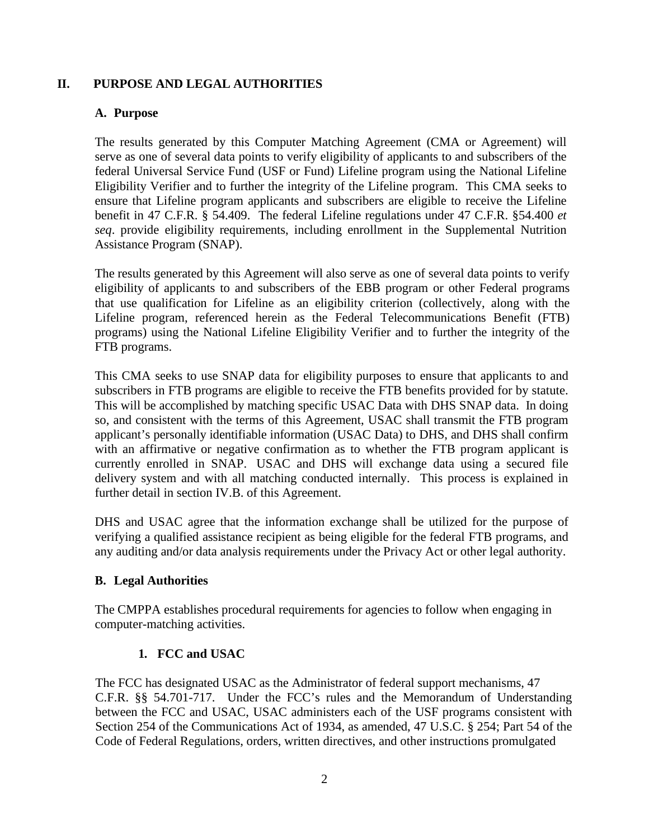# **II. PURPOSE AND LEGAL AUTHORITIES**

## **A. Purpose**

The results generated by this Computer Matching Agreement (CMA or Agreement) will serve as one of several data points to verify eligibility of applicants to and subscribers of the federal Universal Service Fund (USF or Fund) Lifeline program using the National Lifeline Eligibility Verifier and to further the integrity of the Lifeline program. This CMA seeks to ensure that Lifeline program applicants and subscribers are eligible to receive the Lifeline benefit in 47 C.F.R. § 54.409. The federal Lifeline regulations under 47 C.F.R. §54.400 *et seq*. provide eligibility requirements, including enrollment in the Supplemental Nutrition Assistance Program (SNAP).

The results generated by this Agreement will also serve as one of several data points to verify eligibility of applicants to and subscribers of the EBB program or other Federal programs that use qualification for Lifeline as an eligibility criterion (collectively, along with the Lifeline program, referenced herein as the Federal Telecommunications Benefit (FTB) programs) using the National Lifeline Eligibility Verifier and to further the integrity of the FTB programs.

This CMA seeks to use SNAP data for eligibility purposes to ensure that applicants to and subscribers in FTB programs are eligible to receive the FTB benefits provided for by statute. This will be accomplished by matching specific USAC Data with DHS SNAP data. In doing so, and consistent with the terms of this Agreement, USAC shall transmit the FTB program applicant's personally identifiable information (USAC Data) to DHS, and DHS shall confirm with an affirmative or negative confirmation as to whether the FTB program applicant is currently enrolled in SNAP. USAC and DHS will exchange data using a secured file delivery system and with all matching conducted internally. This process is explained in further detail in section IV.B. of this Agreement.

DHS and USAC agree that the information exchange shall be utilized for the purpose of verifying a qualified assistance recipient as being eligible for the federal FTB programs, and any auditing and/or data analysis requirements under the Privacy Act or other legal authority.

# **B. Legal Authorities**

The CMPPA establishes procedural requirements for agencies to follow when engaging in computer-matching activities.

# **1. FCC and USAC**

The FCC has designated USAC as the Administrator of federal support mechanisms, 47 C.F.R. §§ 54.701-717. Under the FCC's rules and the Memorandum of Understanding between the FCC and USAC, USAC administers each of the USF programs consistent with Section 254 of the Communications Act of 1934, as amended, 47 U.S.C. § 254; Part 54 of the Code of Federal Regulations, orders, written directives, and other instructions promulgated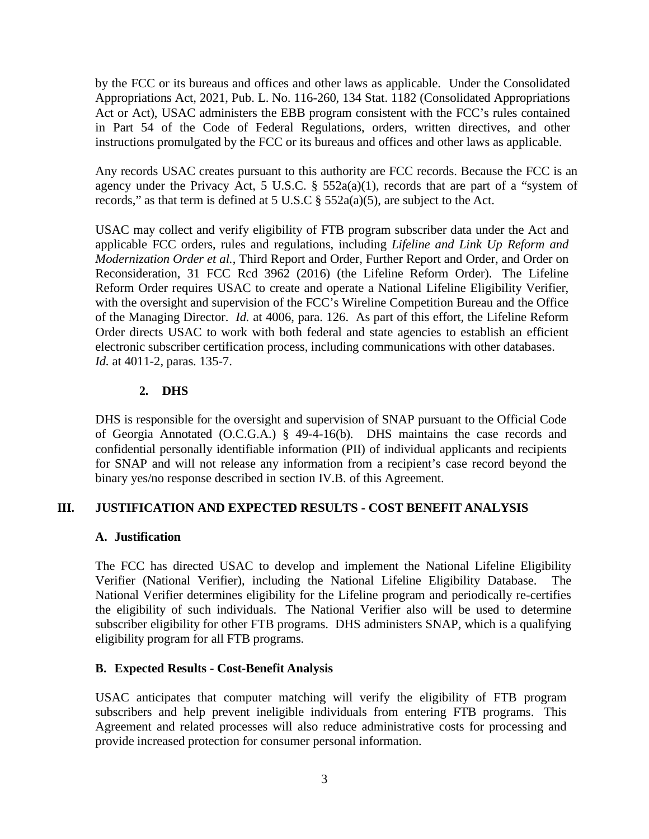by the FCC or its bureaus and offices and other laws as applicable. Under the Consolidated Appropriations Act, 2021, Pub. L. No. 116-260, 134 Stat. 1182 (Consolidated Appropriations Act or Act), USAC administers the EBB program consistent with the FCC's rules contained in Part 54 of the Code of Federal Regulations, orders, written directives, and other instructions promulgated by the FCC or its bureaus and offices and other laws as applicable.

Any records USAC creates pursuant to this authority are FCC records. Because the FCC is an agency under the Privacy Act, 5 U.S.C.  $\S$  552a(a)(1), records that are part of a "system of records," as that term is defined at  $5 \text{ U.S. C} \$  $552a(a)(5)$ , are subject to the Act.

USAC may collect and verify eligibility of FTB program subscriber data under the Act and applicable FCC orders, rules and regulations, including *Lifeline and Link Up Reform and Modernization Order et al.*, Third Report and Order, Further Report and Order, and Order on Reconsideration, 31 FCC Rcd 3962 (2016) (the Lifeline Reform Order). The Lifeline Reform Order requires USAC to create and operate a National Lifeline Eligibility Verifier, with the oversight and supervision of the FCC's Wireline Competition Bureau and the Office of the Managing Director. *Id.* at 4006, para. 126. As part of this effort, the Lifeline Reform Order directs USAC to work with both federal and state agencies to establish an efficient electronic subscriber certification process, including communications with other databases. *Id.* at 4011-2, paras. 135-7.

# **2. DHS**

DHS is responsible for the oversight and supervision of SNAP pursuant to the Official Code of Georgia Annotated (O.C.G.A.) § 49-4-16(b). DHS maintains the case records and confidential personally identifiable information (PII) of individual applicants and recipients for SNAP and will not release any information from a recipient's case record beyond the binary yes/no response described in section IV.B. of this Agreement.

# **III. JUSTIFICATION AND EXPECTED RESULTS - COST BENEFIT ANALYSIS**

# **A. Justification**

The FCC has directed USAC to develop and implement the National Lifeline Eligibility Verifier (National Verifier), including the National Lifeline Eligibility Database. The National Verifier determines eligibility for the Lifeline program and periodically re-certifies the eligibility of such individuals. The National Verifier also will be used to determine subscriber eligibility for other FTB programs. DHS administers SNAP, which is a qualifying eligibility program for all FTB programs.

# **B. Expected Results - Cost-Benefit Analysis**

USAC anticipates that computer matching will verify the eligibility of FTB program subscribers and help prevent ineligible individuals from entering FTB programs. This Agreement and related processes will also reduce administrative costs for processing and provide increased protection for consumer personal information.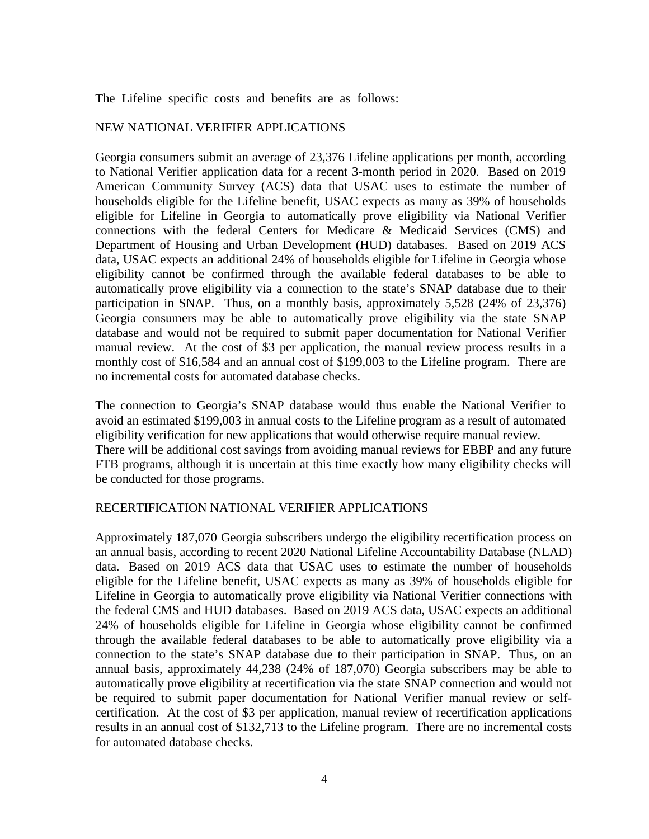The Lifeline specific costs and benefits are as follows:

#### NEW NATIONAL VERIFIER APPLICATIONS

Georgia consumers submit an average of 23,376 Lifeline applications per month, according to National Verifier application data for a recent 3-month period in 2020. Based on 2019 American Community Survey (ACS) data that USAC uses to estimate the number of households eligible for the Lifeline benefit, USAC expects as many as 39% of households eligible for Lifeline in Georgia to automatically prove eligibility via National Verifier connections with the federal Centers for Medicare & Medicaid Services (CMS) and Department of Housing and Urban Development (HUD) databases. Based on 2019 ACS data, USAC expects an additional 24% of households eligible for Lifeline in Georgia whose eligibility cannot be confirmed through the available federal databases to be able to automatically prove eligibility via a connection to the state's SNAP database due to their participation in SNAP. Thus, on a monthly basis, approximately 5,528 (24% of 23,376) Georgia consumers may be able to automatically prove eligibility via the state SNAP database and would not be required to submit paper documentation for National Verifier manual review. At the cost of \$3 per application, the manual review process results in a monthly cost of \$16,584 and an annual cost of \$199,003 to the Lifeline program. There are no incremental costs for automated database checks.

The connection to Georgia's SNAP database would thus enable the National Verifier to avoid an estimated \$199,003 in annual costs to the Lifeline program as a result of automated eligibility verification for new applications that would otherwise require manual review. There will be additional cost savings from avoiding manual reviews for EBBP and any future FTB programs, although it is uncertain at this time exactly how many eligibility checks will be conducted for those programs.

#### RECERTIFICATION NATIONAL VERIFIER APPLICATIONS

Approximately 187,070 Georgia subscribers undergo the eligibility recertification process on an annual basis, according to recent 2020 National Lifeline Accountability Database (NLAD) data. Based on 2019 ACS data that USAC uses to estimate the number of households eligible for the Lifeline benefit, USAC expects as many as 39% of households eligible for Lifeline in Georgia to automatically prove eligibility via National Verifier connections with the federal CMS and HUD databases. Based on 2019 ACS data, USAC expects an additional 24% of households eligible for Lifeline in Georgia whose eligibility cannot be confirmed through the available federal databases to be able to automatically prove eligibility via a connection to the state's SNAP database due to their participation in SNAP. Thus, on an annual basis, approximately 44,238 (24% of 187,070) Georgia subscribers may be able to automatically prove eligibility at recertification via the state SNAP connection and would not be required to submit paper documentation for National Verifier manual review or selfcertification. At the cost of \$3 per application, manual review of recertification applications results in an annual cost of \$132,713 to the Lifeline program. There are no incremental costs for automated database checks.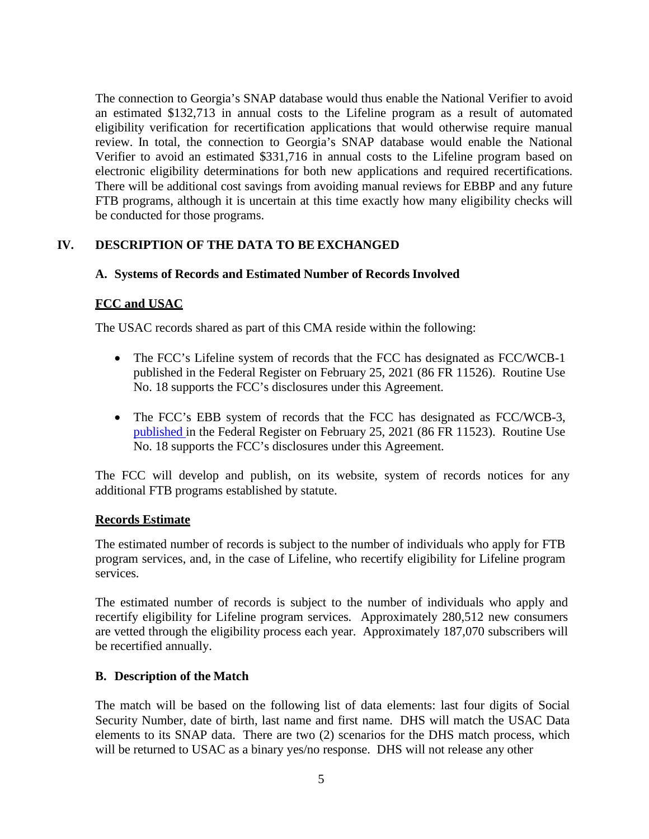The connection to Georgia's SNAP database would thus enable the National Verifier to avoid an estimated \$132,713 in annual costs to the Lifeline program as a result of automated eligibility verification for recertification applications that would otherwise require manual review. In total, the connection to Georgia's SNAP database would enable the National Verifier to avoid an estimated \$331,716 in annual costs to the Lifeline program based on electronic eligibility determinations for both new applications and required recertifications. There will be additional cost savings from avoiding manual reviews for EBBP and any future FTB programs, although it is uncertain at this time exactly how many eligibility checks will be conducted for those programs.

# **IV. DESCRIPTION OF THE DATA TO BE EXCHANGED**

# **A. Systems of Records and Estimated Number of Records Involved**

# **FCC and USAC**

The USAC records shared as part of this CMA reside within the following:

- The FCC's Lifeline system of records that the FCC has designated as FCC/WCB-1 published in the Federal Register on February 25, 2021 (86 FR 11526). Routine Use No. 18 supports the FCC's disclosures under this Agreement.
- The FCC's EBB system of records that the FCC has designated as FCC/WCB-3, published in the Federal Register on February 25, 2021 (86 FR 11523). Routine Use No. 18 supports the FCC's disclosures under this Agreement.

The FCC will develop and publish, on its website, system of records notices for any additional FTB programs established by statute.

#### **Records Estimate**

The estimated number of records is subject to the number of individuals who apply for FTB program services, and, in the case of Lifeline, who recertify eligibility for Lifeline program services.

The estimated number of records is subject to the number of individuals who apply and recertify eligibility for Lifeline program services. Approximately 280,512 new consumers are vetted through the eligibility process each year. Approximately 187,070 subscribers will be recertified annually.

# **B. Description of the Match**

The match will be based on the following list of data elements: last four digits of Social Security Number, date of birth, last name and first name. DHS will match the USAC Data elements to its SNAP data. There are two (2) scenarios for the DHS match process, which will be returned to USAC as a binary yes/no response. DHS will not release any other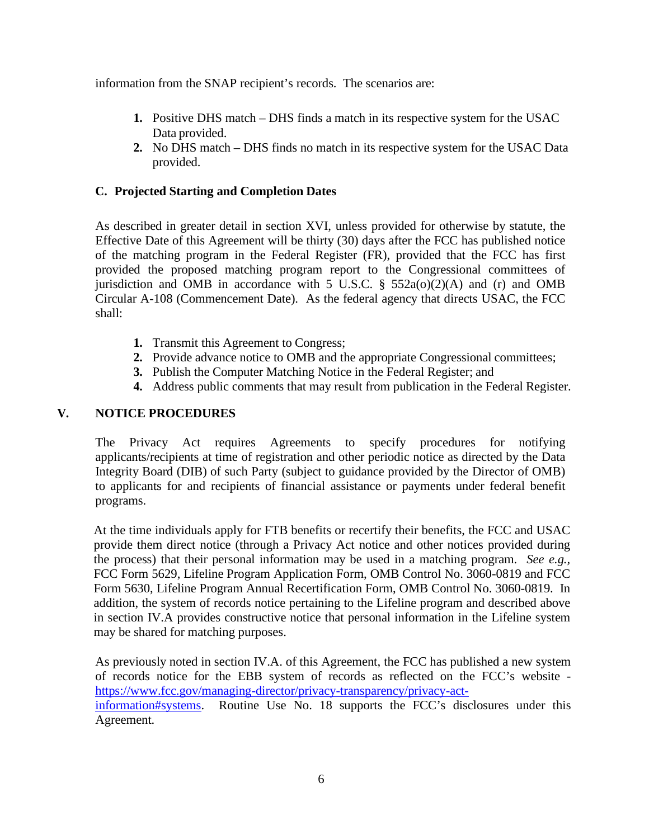information from the SNAP recipient's records. The scenarios are:

- **1.** Positive DHS match DHS finds a match in its respective system for the USAC Data provided.
- **2.** No DHS match DHS finds no match in its respective system for the USAC Data provided.

# **C. Projected Starting and Completion Dates**

As described in greater detail in section XVI, unless provided for otherwise by statute, the Effective Date of this Agreement will be thirty (30) days after the FCC has published notice of the matching program in the Federal Register (FR), provided that the FCC has first provided the proposed matching program report to the Congressional committees of jurisdiction and OMB in accordance with 5 U.S.C.  $\S$  552a(o)(2)(A) and (r) and OMB Circular A-108 (Commencement Date). As the federal agency that directs USAC, the FCC shall:

- **1.** Transmit this Agreement to Congress;
- **2.** Provide advance notice to OMB and the appropriate Congressional committees;
- **3.** Publish the Computer Matching Notice in the Federal Register; and
- **4.** Address public comments that may result from publication in the Federal Register.

# **V. NOTICE PROCEDURES**

The Privacy Act requires Agreements to specify procedures for notifying applicants/recipients at time of registration and other periodic notice as directed by the Data Integrity Board (DIB) of such Party (subject to guidance provided by the Director of OMB) to applicants for and recipients of financial assistance or payments under federal benefit programs.

At the time individuals apply for FTB benefits or recertify their benefits, the FCC and USAC provide them direct notice (through a Privacy Act notice and other notices provided during the process) that their personal information may be used in a matching program. *See e.g.,* FCC Form 5629, Lifeline Program Application Form, OMB Control No. 3060-0819 and FCC Form 5630, Lifeline Program Annual Recertification Form, OMB Control No. 3060-0819. In addition, the system of records notice pertaining to the Lifeline program and described above in section IV.A provides constructive notice that personal information in the Lifeline system may be shared for matching purposes.

As previously noted in section IV.A. of this Agreement, the FCC has published a new system of records notice for the EBB system of records as reflected on the FCC's website [https://www.fcc.gov/managing-director/privacy-transparency/privacy-act](https://www.fcc.gov/managing-director/privacy-transparency/privacy-act-information#systems)[information#systems.](https://www.fcc.gov/managing-director/privacy-transparency/privacy-act-information#systems) Routine Use No. 18 supports the FCC's disclosures under this Agreement.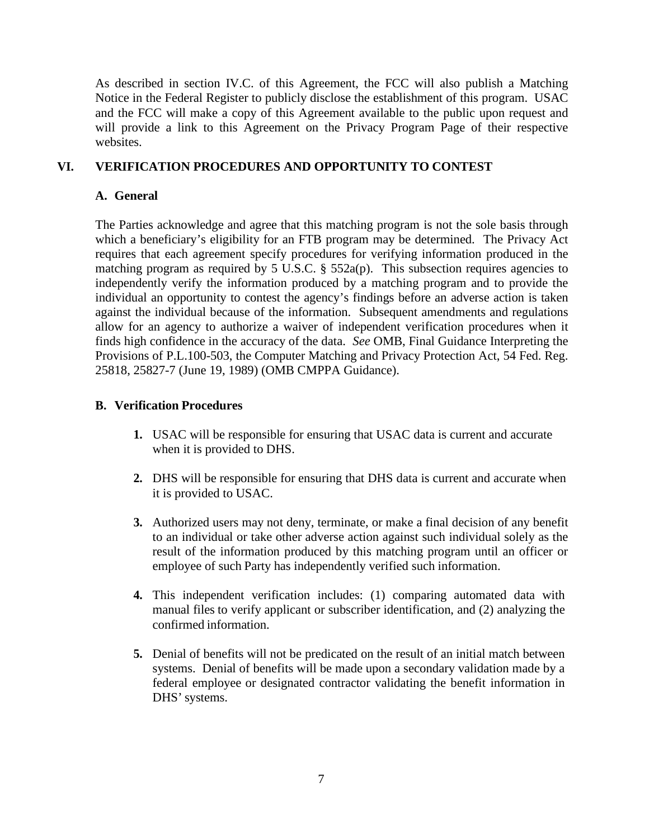As described in section IV.C. of this Agreement, the FCC will also publish a Matching Notice in the Federal Register to publicly disclose the establishment of this program. USAC and the FCC will make a copy of this Agreement available to the public upon request and will provide a link to this Agreement on the Privacy Program Page of their respective websites.

## **VI. VERIFICATION PROCEDURES AND OPPORTUNITY TO CONTEST**

### **A. General**

The Parties acknowledge and agree that this matching program is not the sole basis through which a beneficiary's eligibility for an FTB program may be determined. The Privacy Act requires that each agreement specify procedures for verifying information produced in the matching program as required by 5 U.S.C. § 552a(p). This subsection requires agencies to independently verify the information produced by a matching program and to provide the individual an opportunity to contest the agency's findings before an adverse action is taken against the individual because of the information. Subsequent amendments and regulations allow for an agency to authorize a waiver of independent verification procedures when it finds high confidence in the accuracy of the data. *See* OMB, Final Guidance Interpreting the Provisions of P.L.100-503, the Computer Matching and Privacy Protection Act, 54 Fed. Reg. 25818, 25827-7 (June 19, 1989) (OMB CMPPA Guidance).

### **B. Verification Procedures**

- **1.** USAC will be responsible for ensuring that USAC data is current and accurate when it is provided to DHS.
- **2.** DHS will be responsible for ensuring that DHS data is current and accurate when it is provided to USAC.
- **3.** Authorized users may not deny, terminate, or make a final decision of any benefit to an individual or take other adverse action against such individual solely as the result of the information produced by this matching program until an officer or employee of such Party has independently verified such information.
- **4.** This independent verification includes: (1) comparing automated data with manual files to verify applicant or subscriber identification, and (2) analyzing the confirmed information.
- **5.** Denial of benefits will not be predicated on the result of an initial match between systems. Denial of benefits will be made upon a secondary validation made by a federal employee or designated contractor validating the benefit information in DHS' systems.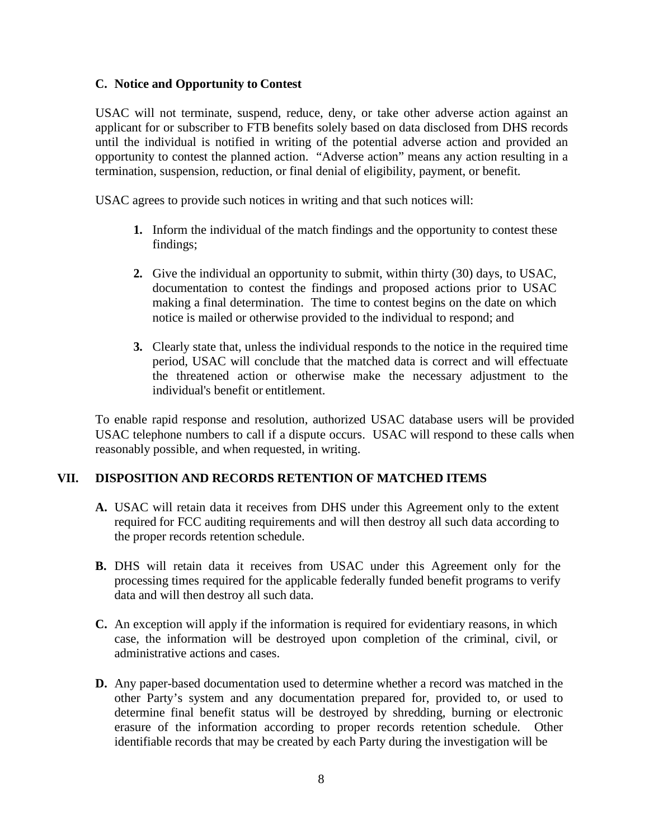### **C. Notice and Opportunity to Contest**

USAC will not terminate, suspend, reduce, deny, or take other adverse action against an applicant for or subscriber to FTB benefits solely based on data disclosed from DHS records until the individual is notified in writing of the potential adverse action and provided an opportunity to contest the planned action. "Adverse action" means any action resulting in a termination, suspension, reduction, or final denial of eligibility, payment, or benefit.

USAC agrees to provide such notices in writing and that such notices will:

- **1.** Inform the individual of the match findings and the opportunity to contest these findings;
- **2.** Give the individual an opportunity to submit, within thirty (30) days, to USAC, documentation to contest the findings and proposed actions prior to USAC making a final determination. The time to contest begins on the date on which notice is mailed or otherwise provided to the individual to respond; and
- **3.** Clearly state that, unless the individual responds to the notice in the required time period, USAC will conclude that the matched data is correct and will effectuate the threatened action or otherwise make the necessary adjustment to the individual's benefit or entitlement.

To enable rapid response and resolution, authorized USAC database users will be provided USAC telephone numbers to call if a dispute occurs. USAC will respond to these calls when reasonably possible, and when requested, in writing.

# **VII. DISPOSITION AND RECORDS RETENTION OF MATCHED ITEMS**

- **A.** USAC will retain data it receives from DHS under this Agreement only to the extent required for FCC auditing requirements and will then destroy all such data according to the proper records retention schedule.
- **B.** DHS will retain data it receives from USAC under this Agreement only for the processing times required for the applicable federally funded benefit programs to verify data and will then destroy all such data.
- **C.** An exception will apply if the information is required for evidentiary reasons, in which case, the information will be destroyed upon completion of the criminal, civil, or administrative actions and cases.
- **D.** Any paper-based documentation used to determine whether a record was matched in the other Party's system and any documentation prepared for, provided to, or used to determine final benefit status will be destroyed by shredding, burning or electronic erasure of the information according to proper records retention schedule. Other identifiable records that may be created by each Party during the investigation will be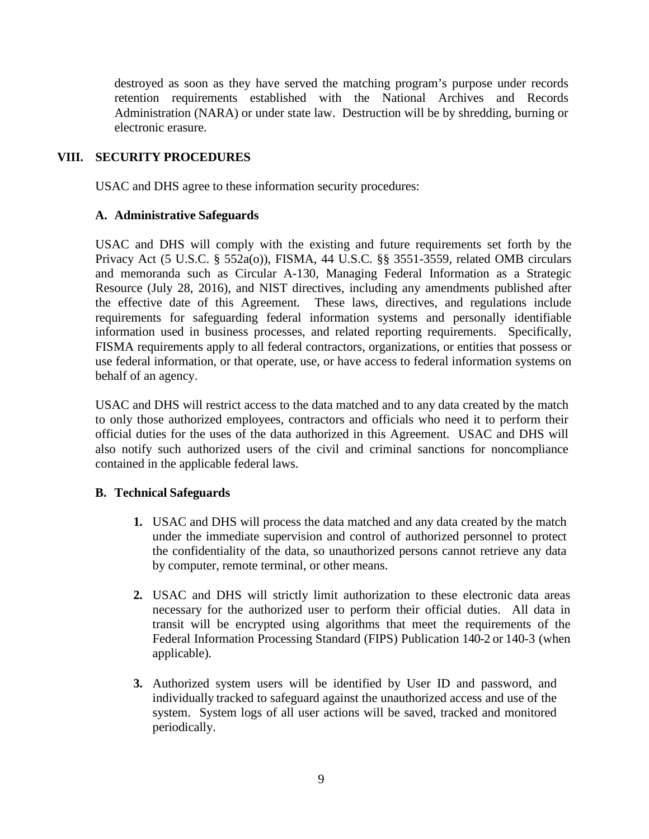destroyed as soon as they have served the matching program's purpose under records retention requirements established with the National Archives and Records Administration (NARA) or under state law. Destruction will be by shredding, burning or electronic erasure.

# **VIII. SECURITY PROCEDURES**

USAC and DHS agree to these information security procedures:

### **A. Administrative Safeguards**

USAC and DHS will comply with the existing and future requirements set forth by the Privacy Act (5 U.S.C. § 552a(o)), FISMA, 44 U.S.C. §§ 3551-3559, related OMB circulars and memoranda such as Circular A-130, Managing Federal Information as a Strategic Resource (July 28, 2016), and NIST directives, including any amendments published after the effective date of this Agreement*.* These laws, directives, and regulations include requirements for safeguarding federal information systems and personally identifiable information used in business processes, and related reporting requirements. Specifically, FISMA requirements apply to all federal contractors, organizations, or entities that possess or use federal information, or that operate, use, or have access to federal information systems on behalf of an agency.

USAC and DHS will restrict access to the data matched and to any data created by the match to only those authorized employees, contractors and officials who need it to perform their official duties for the uses of the data authorized in this Agreement. USAC and DHS will also notify such authorized users of the civil and criminal sanctions for noncompliance contained in the applicable federal laws.

#### **B. Technical Safeguards**

- **1.** USAC and DHS will process the data matched and any data created by the match under the immediate supervision and control of authorized personnel to protect the confidentiality of the data, so unauthorized persons cannot retrieve any data by computer, remote terminal, or other means.
- **2.** USAC and DHS will strictly limit authorization to these electronic data areas necessary for the authorized user to perform their official duties. All data in transit will be encrypted using algorithms that meet the requirements of the Federal Information Processing Standard (FIPS) Publication 140-2 or 140-3 (when applicable).
- **3.** Authorized system users will be identified by User ID and password, and individually tracked to safeguard against the unauthorized access and use of the system. System logs of all user actions will be saved, tracked and monitored periodically.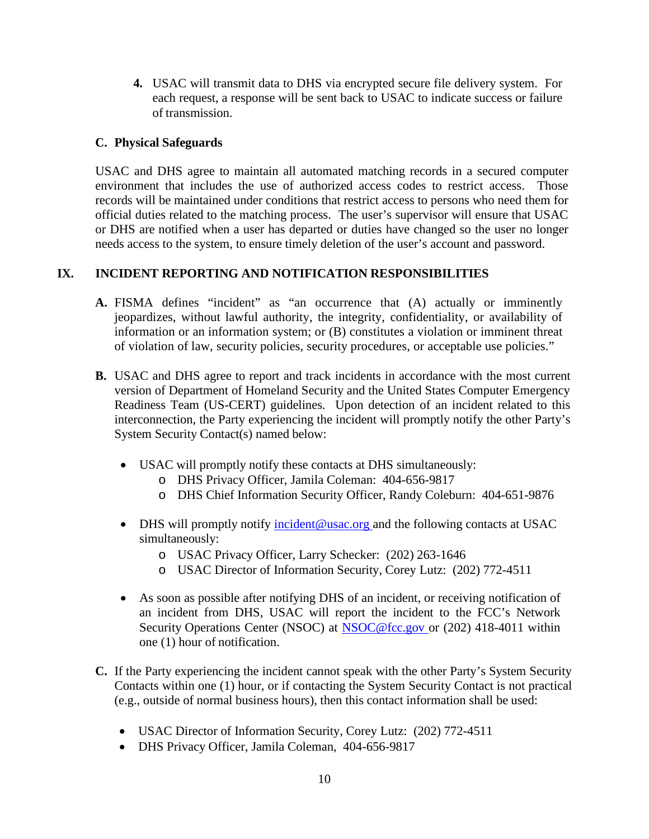**4.** USAC will transmit data to DHS via encrypted secure file delivery system. For each request, a response will be sent back to USAC to indicate success or failure of transmission.

## **C. Physical Safeguards**

USAC and DHS agree to maintain all automated matching records in a secured computer environment that includes the use of authorized access codes to restrict access. Those records will be maintained under conditions that restrict access to persons who need them for official duties related to the matching process. The user's supervisor will ensure that USAC or DHS are notified when a user has departed or duties have changed so the user no longer needs access to the system, to ensure timely deletion of the user's account and password.

# **IX. INCIDENT REPORTING AND NOTIFICATION RESPONSIBILITIES**

- **A.** FISMA defines "incident" as "an occurrence that (A) actually or imminently jeopardizes, without lawful authority, the integrity, confidentiality, or availability of information or an information system; or (B) constitutes a violation or imminent threat of violation of law, security policies, security procedures, or acceptable use policies."
- **B.** USAC and DHS agree to report and track incidents in accordance with the most current version of Department of Homeland Security and the United States Computer Emergency Readiness Team (US-CERT) guidelines. Upon detection of an incident related to this interconnection, the Party experiencing the incident will promptly notify the other Party's System Security Contact(s) named below:
	- USAC will promptly notify these contacts at DHS simultaneously:
		- o DHS Privacy Officer, Jamila Coleman: 404-656-9817
		- o DHS Chief Information Security Officer, Randy Coleburn: 404-651-9876
	- DHS will promptly notify [incident@usac.org a](mailto:incident@usac.org)nd the following contacts at USAC simultaneously:
		- o USAC Privacy Officer, Larry Schecker: (202) 263-1646
		- o USAC Director of Information Security, Corey Lutz: (202) 772-4511
	- As soon as possible after notifying DHS of an incident, or receiving notification of an incident from DHS, USAC will report the incident to the FCC's Network Security Operations Center (NSOC) at [NSOC@fcc.gov](mailto:NSOC@fcc.gov) or (202) 418-4011 within one (1) hour of notification.
- **C.** If the Party experiencing the incident cannot speak with the other Party's System Security Contacts within one (1) hour, or if contacting the System Security Contact is not practical (e.g., outside of normal business hours), then this contact information shall be used:
	- USAC Director of Information Security, Corey Lutz: (202) 772-4511
	- DHS Privacy Officer, Jamila Coleman, 404-656-9817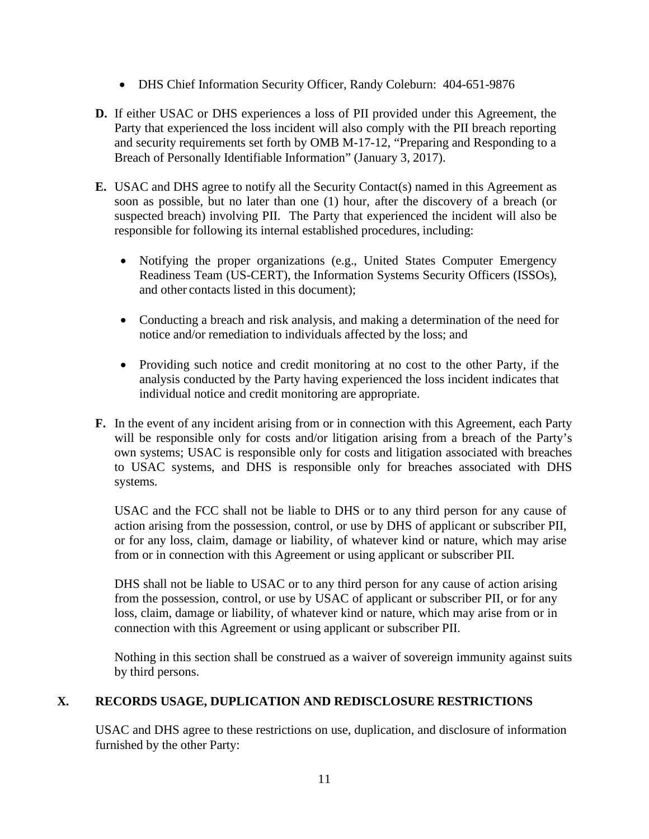- DHS Chief Information Security Officer, Randy Coleburn: 404-651-9876
- **D.** If either USAC or DHS experiences a loss of PII provided under this Agreement, the Party that experienced the loss incident will also comply with the PII breach reporting and security requirements set forth by OMB M-17-12, "Preparing and Responding to a Breach of Personally Identifiable Information" (January 3, 2017).
- **E.** USAC and DHS agree to notify all the Security Contact(s) named in this Agreement as soon as possible, but no later than one (1) hour, after the discovery of a breach (or suspected breach) involving PII. The Party that experienced the incident will also be responsible for following its internal established procedures, including:
	- Notifying the proper organizations (e.g., United States Computer Emergency Readiness Team (US-CERT), the Information Systems Security Officers (ISSOs), and other contacts listed in this document);
	- Conducting a breach and risk analysis, and making a determination of the need for notice and/or remediation to individuals affected by the loss; and
	- Providing such notice and credit monitoring at no cost to the other Party, if the analysis conducted by the Party having experienced the loss incident indicates that individual notice and credit monitoring are appropriate.
- **F.** In the event of any incident arising from or in connection with this Agreement, each Party will be responsible only for costs and/or litigation arising from a breach of the Party's own systems; USAC is responsible only for costs and litigation associated with breaches to USAC systems, and DHS is responsible only for breaches associated with DHS systems.

USAC and the FCC shall not be liable to DHS or to any third person for any cause of action arising from the possession, control, or use by DHS of applicant or subscriber PII, or for any loss, claim, damage or liability, of whatever kind or nature, which may arise from or in connection with this Agreement or using applicant or subscriber PII.

DHS shall not be liable to USAC or to any third person for any cause of action arising from the possession, control, or use by USAC of applicant or subscriber PII, or for any loss, claim, damage or liability, of whatever kind or nature, which may arise from or in connection with this Agreement or using applicant or subscriber PII.

Nothing in this section shall be construed as a waiver of sovereign immunity against suits by third persons.

# **X. RECORDS USAGE, DUPLICATION AND REDISCLOSURE RESTRICTIONS**

USAC and DHS agree to these restrictions on use, duplication, and disclosure of information furnished by the other Party: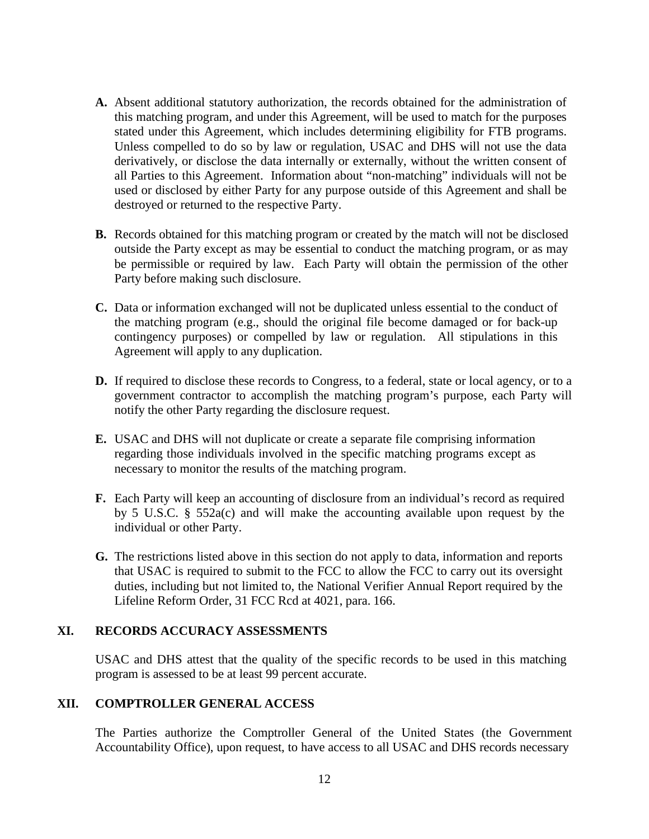- **A.** Absent additional statutory authorization, the records obtained for the administration of this matching program, and under this Agreement, will be used to match for the purposes stated under this Agreement, which includes determining eligibility for FTB programs. Unless compelled to do so by law or regulation, USAC and DHS will not use the data derivatively, or disclose the data internally or externally, without the written consent of all Parties to this Agreement. Information about "non-matching" individuals will not be used or disclosed by either Party for any purpose outside of this Agreement and shall be destroyed or returned to the respective Party.
- **B.** Records obtained for this matching program or created by the match will not be disclosed outside the Party except as may be essential to conduct the matching program, or as may be permissible or required by law. Each Party will obtain the permission of the other Party before making such disclosure.
- **C.** Data or information exchanged will not be duplicated unless essential to the conduct of the matching program (e.g., should the original file become damaged or for back-up contingency purposes) or compelled by law or regulation. All stipulations in this Agreement will apply to any duplication.
- **D.** If required to disclose these records to Congress, to a federal, state or local agency, or to a government contractor to accomplish the matching program's purpose, each Party will notify the other Party regarding the disclosure request.
- **E.** USAC and DHS will not duplicate or create a separate file comprising information regarding those individuals involved in the specific matching programs except as necessary to monitor the results of the matching program.
- **F.** Each Party will keep an accounting of disclosure from an individual's record as required by 5 U.S.C. § 552a(c) and will make the accounting available upon request by the individual or other Party.
- **G.** The restrictions listed above in this section do not apply to data, information and reports that USAC is required to submit to the FCC to allow the FCC to carry out its oversight duties, including but not limited to, the National Verifier Annual Report required by the Lifeline Reform Order, 31 FCC Rcd at 4021, para. 166.

#### **XI. RECORDS ACCURACY ASSESSMENTS**

USAC and DHS attest that the quality of the specific records to be used in this matching program is assessed to be at least 99 percent accurate.

#### **XII. COMPTROLLER GENERAL ACCESS**

The Parties authorize the Comptroller General of the United States (the Government Accountability Office), upon request, to have access to all USAC and DHS records necessary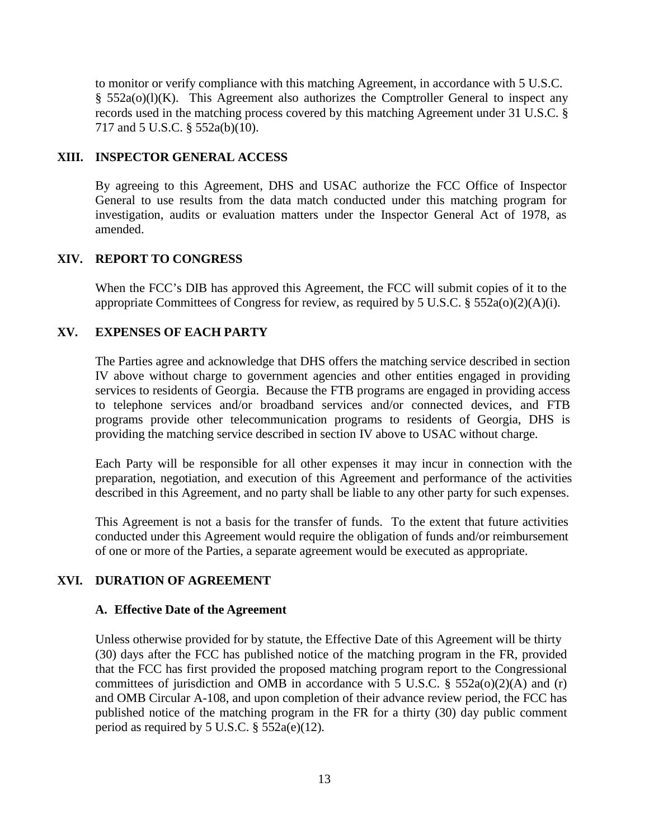to monitor or verify compliance with this matching Agreement, in accordance with 5 U.S.C.  $§$  552a(o)(l)(K). This Agreement also authorizes the Comptroller General to inspect any records used in the matching process covered by this matching Agreement under 31 U.S.C. § 717 and 5 U.S.C. § 552a(b)(10).

## **XIII. INSPECTOR GENERAL ACCESS**

By agreeing to this Agreement, DHS and USAC authorize the FCC Office of Inspector General to use results from the data match conducted under this matching program for investigation, audits or evaluation matters under the Inspector General Act of 1978, as amended.

### **XIV. REPORT TO CONGRESS**

When the FCC's DIB has approved this Agreement, the FCC will submit copies of it to the appropriate Committees of Congress for review, as required by 5 U.S.C.  $\S$  552a(o)(2)(A)(i).

# **XV. EXPENSES OF EACH PARTY**

The Parties agree and acknowledge that DHS offers the matching service described in section IV above without charge to government agencies and other entities engaged in providing services to residents of Georgia. Because the FTB programs are engaged in providing access to telephone services and/or broadband services and/or connected devices, and FTB programs provide other telecommunication programs to residents of Georgia, DHS is providing the matching service described in section IV above to USAC without charge.

Each Party will be responsible for all other expenses it may incur in connection with the preparation, negotiation, and execution of this Agreement and performance of the activities described in this Agreement, and no party shall be liable to any other party for such expenses.

This Agreement is not a basis for the transfer of funds. To the extent that future activities conducted under this Agreement would require the obligation of funds and/or reimbursement of one or more of the Parties, a separate agreement would be executed as appropriate.

#### **XVI. DURATION OF AGREEMENT**

#### **A. Effective Date of the Agreement**

Unless otherwise provided for by statute, the Effective Date of this Agreement will be thirty (30) days after the FCC has published notice of the matching program in the FR, provided that the FCC has first provided the proposed matching program report to the Congressional committees of jurisdiction and OMB in accordance with 5 U.S.C.  $\S$  552a(o)(2)(A) and (r) and OMB Circular A-108, and upon completion of their advance review period, the FCC has published notice of the matching program in the FR for a thirty (30) day public comment period as required by 5 U.S.C. § 552a(e)(12).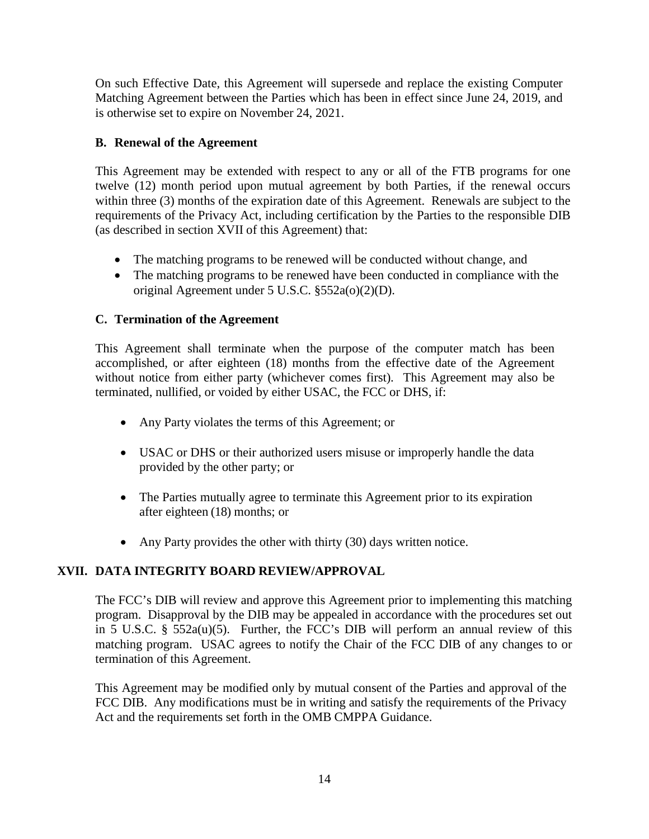On such Effective Date, this Agreement will supersede and replace the existing Computer Matching Agreement between the Parties which has been in effect since June 24, 2019, and is otherwise set to expire on November 24, 2021.

# **B. Renewal of the Agreement**

This Agreement may be extended with respect to any or all of the FTB programs for one twelve (12) month period upon mutual agreement by both Parties, if the renewal occurs within three (3) months of the expiration date of this Agreement. Renewals are subject to the requirements of the Privacy Act, including certification by the Parties to the responsible DIB (as described in section XVII of this Agreement) that:

- The matching programs to be renewed will be conducted without change, and
- The matching programs to be renewed have been conducted in compliance with the original Agreement under 5 U.S.C. §552a(o)(2)(D).

# **C. Termination of the Agreement**

This Agreement shall terminate when the purpose of the computer match has been accomplished, or after eighteen (18) months from the effective date of the Agreement without notice from either party (whichever comes first). This Agreement may also be terminated, nullified, or voided by either USAC, the FCC or DHS, if:

- Any Party violates the terms of this Agreement; or
- USAC or DHS or their authorized users misuse or improperly handle the data provided by the other party; or
- The Parties mutually agree to terminate this Agreement prior to its expiration after eighteen (18) months; or
- Any Party provides the other with thirty (30) days written notice.

# **XVII. DATA INTEGRITY BOARD REVIEW/APPROVAL**

The FCC's DIB will review and approve this Agreement prior to implementing this matching program. Disapproval by the DIB may be appealed in accordance with the procedures set out in 5 U.S.C. § 552a(u)(5). Further, the FCC's DIB will perform an annual review of this matching program. USAC agrees to notify the Chair of the FCC DIB of any changes to or termination of this Agreement.

This Agreement may be modified only by mutual consent of the Parties and approval of the FCC DIB. Any modifications must be in writing and satisfy the requirements of the Privacy Act and the requirements set forth in the OMB CMPPA Guidance.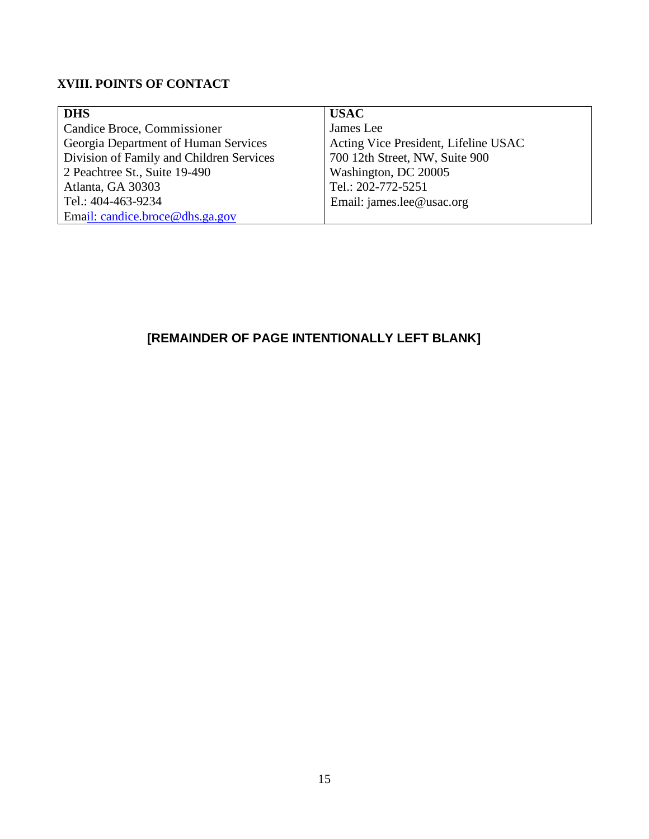# **XVIII. POINTS OF CONTACT**

| <b>DHS</b>                               | <b>USAC</b>                          |
|------------------------------------------|--------------------------------------|
| Candice Broce, Commissioner              | James Lee                            |
| Georgia Department of Human Services     | Acting Vice President, Lifeline USAC |
| Division of Family and Children Services | 700 12th Street, NW, Suite 900       |
| 2 Peachtree St., Suite 19-490            | Washington, DC 20005                 |
| Atlanta, GA 30303                        | Tel.: 202-772-5251                   |
| Tel.: 404-463-9234                       | Email: james.lee@usac.org            |
| Email: candice.broce@dhs.ga.gov          |                                      |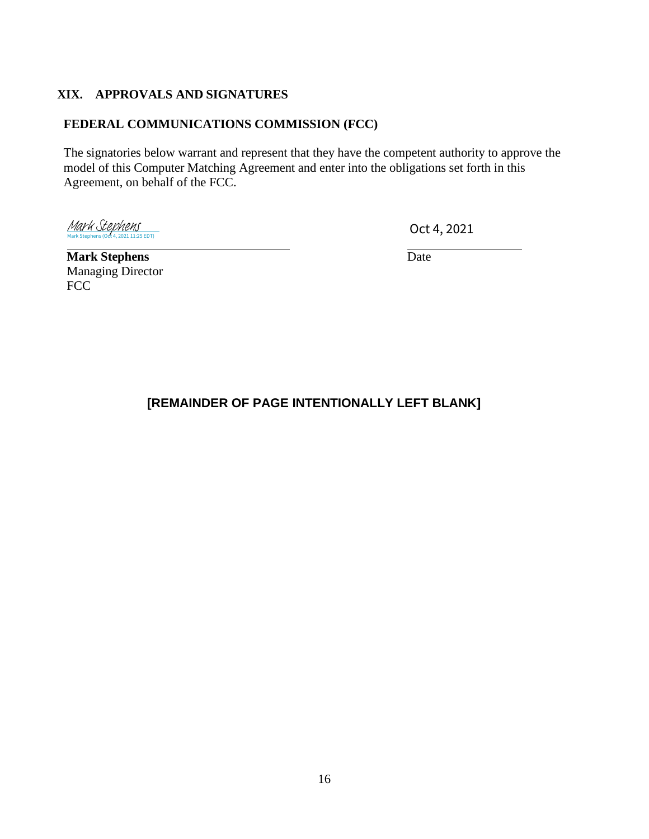# **XIX. APPROVALS AND SIGNATURES**

# **FEDERAL COMMUNICATIONS COMMISSION (FCC)**

The signatories below warrant and represent that they have the competent authority to approve the model of this Computer Matching Agreement and enter into the obligations set forth in this Agreement, on behalf of the FCC.

[Mark Stephens](https://dhsesign.na2.adobesign.com/verifier?tx=CBJCHBCAABAA7eKCkOpwT8QqIJTht9oYkE1AJ0lg0yIx)<br>Mark Stephens (Oct 4, 2021 11:25 EDT)

Oct 4, 2021

**Mark Stephens** Date Managing Director FCC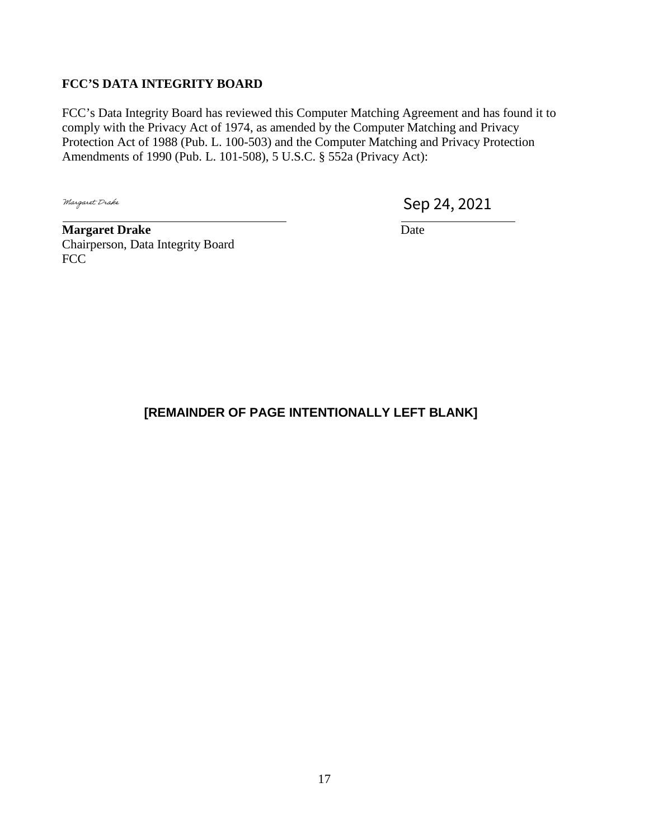# **FCC'S DATA INTEGRITY BOARD**

FCC's Data Integrity Board has reviewed this Computer Matching Agreement and has found it to comply with the Privacy Act of 1974, as amended by the Computer Matching and Privacy Protection Act of 1988 (Pub. L. 100-503) and the Computer Matching and Privacy Protection Amendments of 1990 (Pub. L. 101-508), 5 U.S.C. § 552a (Privacy Act):

Margaret Drake

Sep 24, 2021

**Margaret Drake** Date Chairperson, Data Integrity Board FCC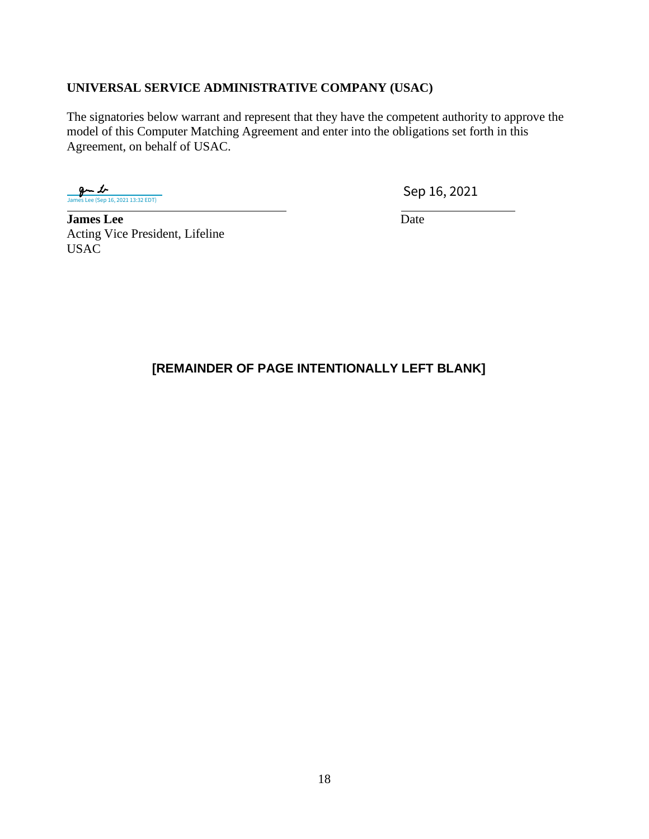# **UNIVERSAL SERVICE ADMINISTRATIVE COMPANY (USAC)**

The signatories below warrant and represent that they have the competent authority to approve the model of this Computer Matching Agreement and enter into the obligations set forth in this Agreement, on behalf of USAC.

 $9 - 1$ |<br>|-<br>| 16, 2021 13:32 EDT)

Sep 16, 2021

**James Lee** Date Acting Vice President, Lifeline USAC